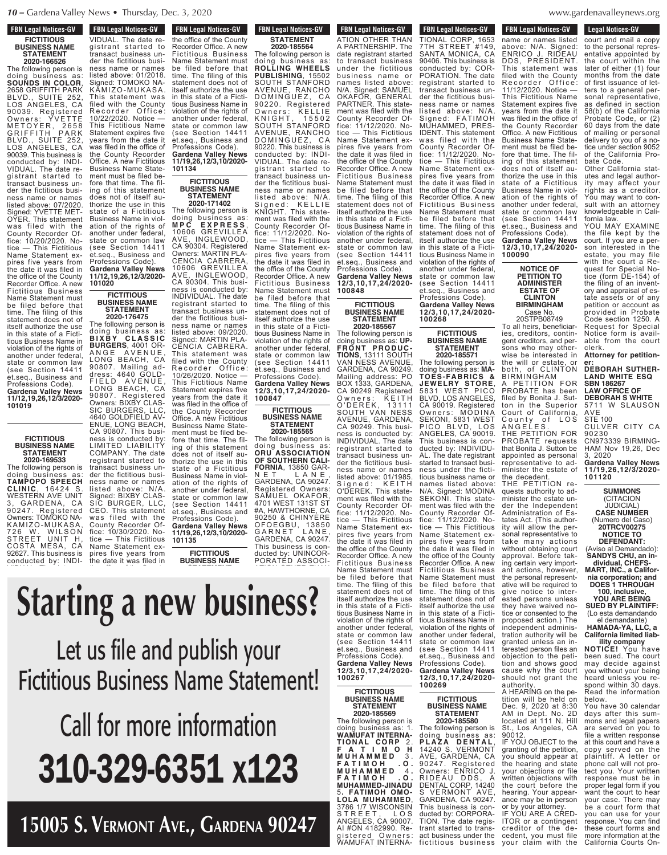# **FBN Legal Notices-GV FICTITIOUS BUSINESS NAME STATEMENT**

**2020-166526** The following person is doing business as: **SOUNDS IN COLOR**, 2658 GRIFFITH PARK BLVD., SUITE 252, LOS ANGELES, CA 90039. Registered Owners: YVETTE METOYER, 2658 GRIFFITH PARK BLVD., SUITE 252, LOS ANGELES, CA 90039. This business is conducted by: INDI-VIDUAL. The date registrant started to transact business under the fictitious business name or names listed above: 07/2020. Signed: YVETTE MET-OYER. This statement was filed with the County Recorder Office: 10/20/2020. Notice — This Fictitious Name Statement expires five years from the date it was filed in the office of the County Recorder Office. A new Fictitious Business Name Statement must be filed before that time. The filing of this statement does not of itself authorize the use in this state of a Fictitious Business Name in violation of the rights of another under federal, state or common law (see Section 14411 et.seq., Business and Professions Code). **Gardena Valley News 11/12,19,26,12/3/2020- 101019**

**FICTITIOUS BUSINESS NAME STATEMENT 2020-169533** The following person is doing business as: **TAMPOPO SPEECH**

ness name or names listed above: N/A. was filed with the tice — This Fictitious the date it was filed in **CLINIC**, 16424 S. WESTERN AVE UNIT 3, GARDENA, CA 90247. Registered Owners: TOMOKO NA-KA M IZO- M U KASA, 726 W. WILSON 726 W. WILSON<br>STREET UNIT H, COSTA MESA, CA 92627. This business is conducted by: INDI-

transact business un- $\sim$   $\sim$   $\sim$ 

**FBN Legal Notices-GV CONDUCTED CONDUCTED EXPLORER** VIDUAL. The date re- gistrant started to transact business under the fictitious business name or names listed above: 01/2018. Signed: TOMOKO NA-KĀMIZO-MUKASA. This statement was filed with the County Recorder Office: 10/22/2020. Notice — This Fictitious Name Statement expires five years from the date it was filed in the office of the County Recorder Office. A néw Fictitious Business Name Statement must be filed before that time. The filing of this statement does not of itself authorize the use in this state of a Fictitious Business Name in violation of the rights of another under federal, state or common law (see Section 14411

et.seq., Business and Professions Code). **Gardena Valley News 11/12,19,26,12/3/2020-**

**FICTITIOUS BUSINESS NAME STATEMENT 2020-176475** The following person is doing business as<br>**BIXBY CLASSIC B I X B Y C L A S S I C BURGERS**, 4001 OR-

LONG BEACH, CA 90807. Mailing address: 4640 GOLD-

LONG BEACH, CA 90807. Registered Owners: BIXBY CLAS-SIC BURGERS, LLC 4640 GOLDFIELD AV-

CA 90807. This busi-

LIMITED LIABILITY COMPANY. The date

transact business under the fictitious busi-

Signed: BIXBY CLAS-SIC BURGER, LLC, CEO. This statement

County Recorder Office: 10/30/2020. No-

Name Statement expires five years from

**101020**

the office of the County Recorder Office. A new Fictitious Business Name Statement must be filed before that time. The filing of this statement does not of itself authorize the use in this state of a Fictitious Business Name in violation of the rights of another under federal, state or common law (see Section 14411 et.seq., Business and Professions Code). **Gardena Valley News 11/19,26,12/3,10/2020- 101134**

**FBN Legal Notices-GV** 

**THE DATE CALCULATE IN EXAMPLE 25 THE UPPER** 

# **FICTITIOUS BUSINESS NAME STATEMENT 2020-171402**

The following person is doing business as: **M P C E X P R E S S** , 10606 GREVILLEA AVE, INGLEWOOD, CA 90304. Registered Owners: MARTIN PLA-CENCIA CABRERA, 10606 GREVILLEA AVE, INGLEWOOD, CA 90304. This business is conducted by: INDIVIDUAL. The date registrant started to transact business under the fictitious business name or names listed above: 09/2020. Signed: MARTIN PLA-CENCIA CABRERA. This statement was filed with the County Recorder Office: 10/26/2020. Notice — This Fictitious Name Statement expires five years from the date it was filed in the office of the County Recorder Office. A new Fictitious Business Name Statement must be filed before that time. The fildoes not of itself au-ANGE AVENUE, FIELD AVENUE, ENUE, LONG BEACH, ness is conducted by: registrant started to

ing of this statement thorize the use in this state of a Fictitious Business Name in violation of the rights of another under federal, state or common law (see Section 14411 et.seq., Business and<br>Professions Code). Professions Code). **Gardena Valley News 11/19,26,12/3,10/2020-**

**101135 FICTITIOUS**

**BUSINESS NAME**

The following person is

 $\mathbf{t}$ 

itself authorize the use

#### to transact business  $\mathbf{a}$  $\boldsymbol{max}$ bus ines s name or names listed above:  $\overline{\phantom{a}}$  $\bigcap_{i=1}^n$ fice: 11/12/2020. No tice — This Fictitious Name Statement ex- $_{transant}$ tement . ten of the County of the County of the County of the County of the County of the County of the County of the Co doing business as: **ROLLING WHEELS PUBLISHING**, 15502 IV NUJ AVENUE, RANCHO D O M I N G U E Z , C A  $\blacksquare$  . The r s : K  $\blacksquare$ nuhlich *s* DUDIISH S  $\Gamma$  avenue,  $\Gamma$ D O M I N G U E Z , C A Nomo Ct. name SI VIDUAL. The date re- $\overline{\mathbf{a}}$  filed before the  $\overline{\mathbf{a}}$ time. The filling of the filling of this term in the filling of the filling of the filling of the thing the th<br>The filling of the filling of the filling of the filling of the filling of the filling of the filling of the f<br> status do  $\overline{0}$  in this state  $\mathbf{v}$ iolation of the rights of the rights of the rights of the rights of the rights of the rights of the rights of the rights of the rights of the rights of the rights of the rights of the rights of the rights of the r  $\overline{\mathsf{H}}$ cher  $\overline{\mathsf{H}}$ us m<del>e</del> ann  $\cdots$   $\cdots$ et.seq., Business and Professions Code). **Gardena Valley News 11/19,26,12/3,10/2020** ness name or names listed above: 01/2018. signal van die voorbande van die volled van die volled van die volled van die volled van die volled van die vo<br>Signal van die volled van die volled van die volled van die volled van die volled van die volled van die volle  $\frac{1}{\sqrt{2}}$ R e c o r d e r O f f i c e :  $\overline{\phantom{a}}$  . Notice  $\overline{\phantom{a}}$ This Fictitious Name Let us file and publish your years from the date it  $\Gamma$ ictition the County Recorder **Fictitious Business Name Statement! Starting a new business?**

#### $\mathsf{on}$  this this this thing of the filing of the filing of the filing of the filing of this term  $\mathsf{on}$ tious Business Name in violation of the rights of and the set of the set of the set of the set of the set of the set of the set of the set of the set of the set state or common law (see Section 14411 der the fictitious business name or names <u>l inimate</u> **THUS ENDING**  $2F1$ tice **The This Figure** Name Statement ex- $\sim$   $\sim$   $\sim$   $\sim$ fore that time. The fil-ing of this statement does not of itself au-**Call for more information** ation of the rights of another under federal, state or common law  $\blacksquare$  set  $\blacksquare$ **210-329-6351 x123**

 $\mathcal{L}_{\text{in}}$   $\mathcal{L}_{\text{in}}$  $\Gamma$   $\Gamma$   $\Gamma$ VE.. (TARI)E  $\sum$ **15005 S. Vermont AVe., GArdenA 90247**

# **FBN Legal Notices-GV FICTITIOUS BUSINESS NAME STATEMENT 2020-185564**

The following person is doing business as: **ROLLING WHEELS PUBLISHING**, 15502 SOUTH STANFORD AVENUE, RANCHO DOMINGUEZ, CA 90220. Registered Owners: KELLIE K N I G H T , 155 0 2 SOUTH STANFORD AVENUE, RANCHO DOMINGUEZ, CA 90220. This business is conducted by: INDI-VIDUAL. The date registrant started to transact business under the fictitious business name or names listed above: N/A. Signed: KELLIE KNIGHT. This statement was filed with the County Recorder Office: 11/12/2020. Notice — This Fictitious Name Statement expires five years from the date it was filed in the office of the County Recorder Office. A new Fictitious Business Name Statement must be filed before that time. The filing of this statement does not of itself authorize the use in this state of a Fictitious Business Name in violation of the rights of another under federal, state or common law (see Section 14411 et.seq., Business and Professions Code). **Gardena Valley News**

**12/3,10,17,24/2020- 100847 FICTITIOUS**

**BUSINESS NAME STATEMENT 2020-185565** The following person is

doing business as: **ORU ASSOCIATION OF SOUTHERN CALI-FORNIA**, 13850 GAR-<br>N F T  $\vert$  A N F N E T L A N E , GARDENA, CA 90247. Registered Owners: SAMUEL OKAFOR, 4701 WEST 131ST ST #A, HAWTHORNE, CA 90250 & CHINYERE OFOEGBU, 1 3 8 5 0 GARNET LANE, GARDENA, CA 90247. This business is conducted by: UNINCOR-PORATED ASSOCI-

date registrant started

Professions Code).

**FBN Legal Notices-GV POR LEGAL MULLES-CIV** ATION OTHER THAN A PARTNERSHIP. The date registrant started to transact business under the fictitious business name or names listed above: N/A. Signed: SAMUEL OKAFOR, GENERAL PARTNER. This statement was filed with the County Recorder Office: 11/12/2020. Notice — This Fictitious Name Statement expires five years from the date it was filed in the office of the County Recorder Office. A new Fictitious Business Name Statement must be filed before that time. The filing of this statement does not of itself authorize the use in this state of a Fictitious Business Name in violation of the rights of another under federal, state or common law (see Section 14411 et.seq., Business and Professions Code). **Gardena Valley News 12/3,10,17,24/2020- 100848**

**FICTITIOUS BUSINESS NAME STATEMENT 2020-185567**

The following person is doing business as: **UP-F RON T P ROD U C - TIONS**, 13111 SOUTH VAN NESS AVENUE, GARDENA, CA 90249. Mailing address: PO BOX 1333, GARDENA, CA 90249 Registered Owners: KEITH O'DEREK, 13111 SOUTH VAN NESS AVENUE, GARDENA, CA 90249. This business is conducted by: INDIVIDUAL. The date registrant started to transact business under the fictitious business name or names listed above: 01/1985. Signed: KEITH O'DEREK. This statement was filed with the County Recorder Office: 11/12/2020. Notice — This Fictitious Name Statement expires five years from the date it was filed in the office of the County Recorder Office. A new Fictitious Business Name Statement must be filed before that time. The filing of this statement does not of itself authorize the use in this state of a Fictitious Business Name in violation of the rights of another under federal, state or common law<br>(see Section 14411) (see Section 14411<br>et.seq., Business and Professions Code). **Gardena Valley News**

**100269**

The following person is doing business as: 1. **WAMUFAT INTERNA-TION A L COR P** 2 . **F A T I M O H M U H A M M E D** 3 . **F A T I M O H . O . M U H A M M E D** 4 **. F A T I M O H . O . FATIMOH .O.**<br>MUHAMMED-JINADU 5**. FATIMOH OMO-LOLA MUHAMMED**, 3786 1/7 WISCONSIN S T R E E T , L O S ANGELES, CA 90007. AI #ON 4182990. Registered Owners: WAMUFAT INTERNA-<br>.

**FBN Legal Notices-GV FON LEGAL NULLES-UV** TIONAL CORP, 1653 7TH STREET #149, SANTA MONICA, CA 90406. This business is conducted by: COR-PORATION. The date registrant started to transact business under the fictitious business name or names listed above: N/A. Signed: FATIMOH MUHAMMED, PRES-IDENT. This statement was filed with the County Recorder Office: 11/12/2020. Notice — This Fictitious Name Statement expires five years from the date it was filed in the office of the County Recorder Office. A new Fictitious Business Name Statement must be filed before that time. The filing of this statement does not of itself authorize the use in this state of a Fictitious Business Name in violation of the rights of another under federal, state or common law (see Section 14411 et.seq., Business and Professions Code). **Gardena Valley News**

**12/3,10,17,24/2020- 100268**

# **FICTITIOUS BUSINESS NAME STATEMENT 2020-185571**

The following person is doing business as: **MA-TOES-FABRICS & JEWELRY STORE**, 5831 WEST PICO BLVD, LOS ANGELES, CA 90019. Registered Owners: MODINA SEKONI, 5831 WEST PICO BLVD, LOS ANGELES, CA 90019. This business is conducted by: INDIVIDU-The date registrant started to transact business under the fictitious business name or names listed N/A. Signed: MODINA SEKONI. This statement was filed with the County Recorder Office: 11/12/2020. Notice — This Fictitious Name Statement expires five years from the date it was filed in the office of the County Recorder Office. A new Fictitious Business Name Statement must be filed before that time. The filing of this statement does not of itself authorize the use in this state of a Fictitious Business Name in violation of the rights of another under federal, state or common law (see Section 14411 et.seq., Business and Professions Code). **Gardena Valley News 12/3,10,17,24/2020-**

**FICTITIOUS**

**BUSINESS NAME STATEMENT 2020-185580**

The following person is doing business as: **P L A Z A D E N T A L** , 14240 S. VERMONT AVE, GARDENA, CA 90247. Registered Owners: ENRICO J. RIDEAU DDS, A DENTAL CORP, 14240 S VERMONT AVE, GARDENA, CA 90247. This business is conducted by: CORPORA-TION. The date registrant started to transact business under the fictitious business name or names listed

#### denavalleynews.org www.gardenavalleynews.org  $\ldots$   $\ldots$   $\ldots$   $\ldots$

**Legal Notices-GV** Legal Nutries-GV court and mail a copy to the personal representative appointed by the court within the later of either (1) four months from the date of first issuance of letters to a general personal representative, as defined in section 58(b) of the California Probate Code, or (2) 60 days from the date of mailing or personal delivery to you of a notice under section 9052 of the California Probate Code. Other California statutes and legal authority may affect your rights as a creditor. You may want to consult with an attorney knowledgeable in California law. **FBN Legal Notices-GV** FI C LEGAL NULLES-UV name or names listed above: N/A. Signed: ENRICO J. RIDEAU DDS, PRESIDENT. This statement was filed with the County<br>Recorder Office: Recorder i 11/12/2020. Notice — This Fictitious Name Statement expires five years from the date it was filed in the office of the County Recorder Office. A new Fictitious Business Name Statement must be filed before that time. The filing of this statement does not of itself authorize the use in this state of a Fictitious Business Name in violation of the rights of another under federal, state or common law (see Section 14411 et.seq., Business and

Professions Code). **Gardena Valley News 12/3,10,17,24/2020-**

**NOTICE OF PETITION TO ADMINISTER ESTATE OF CLINTON BIRMINGHAM** Case No. 20STPB08749 To all heirs, beneficiaries, creditors, contingent creditors, and persons who may otherwise be interested in

BIRMINGHAM

Court of California, County of LOS A N G E L E S .

minister the estate of the decedent. THE PETITION requests authority to administer the estate under the Independent Administration of tates Act. (This authority will allow the personal representative to<br>take many actions many actions without obtaining court approval. Before taking certain very important actions, however, the personal representative will be required to give notice to interested persons unless they have waived notice or consented to the

tion and shows good cause why the court should not grant the

A HEARING on the petition will be held on Dec. 9, 2020 at 8:30 AM in Dept. No. 2D located at 111 N. Hill St., Los Angeles, CA

IF YOU OBJECT to the granting of the petition, you should appear at the hearing and state your objections or file written objections with the court before the hearing. Your appearance may be in person or by your attorney. IF YOU ARE A CRED-ITOR or a contingent creditor of the decedent, you must file your claim with the

authority.

90012.

**100090**

YOU MAY EXAMINE the file kept by the court. If you are a person interested in the estate, you may file with the court a Request for Special Notice (form DE-154) of the filing of an inventory and appraisal of estate assets or of any petition or account as provided in Probate Code section 1250. A Request for Special Notice form is avail-

able from the court clerk. **Attorney for petition-**

**er: DEBORAH SUTHER-LAND WHITE ESQ SBN 186267 LAW OFFICE OF DEBORAH S WHITE** 5711 W SLAUSON the will or estate, or both, of CLINTON A PETITION FOR PROBATE has been filed by Bonita J. Sutton in the Superior

AVE STE 100 CULVER CITY CA 90230

CN973339 BIRMING-HAM Nov 19,26, Dec 3, 2020 **Gardena Valley News** THE PETITION FOR PROBATE requests that Bonita J. Sutton be appointed as personal representative to ad-

**11/19,26,12/3/2020- 101120**

**SUMMONS** (CITACION JUDICIAL) **CASE NUMBER** (Numero del Caso) **20TRCV00275**

**NOTICE TO DEFENDANT:** (Aviso al Demandado):

**SANDYS CHU, an individual, CHEFS-MART, INC., a Califor-**

**nia corporation; and DOES 1 THROUGH 100, inclusive, YOU ARE BEING**

**SUED BY PLAINTIFF:** (Lo esta demandando

el demandante) **HAMADA-YA, LLC, a California limited liability company** proposed action.) The independent administration authority will be granted unless an interested person files an objection to the peti-

**NOTICE!** You have been sued. The court may decide against you without your being heard unless you respond within 30 days. Read the information

below. You have 30 calendar days after this summons and legal papers are served on you to file a written response at this court and have a copy served on the plaintiff. A letter or phone call will not protect you. Your written response must be in proper legal form if you want the court to hear your case. There may be a court form that you can use for your response. You can find these court forms and more information at the California Courts On-

# **12/3,10,17,24/2020- 100267 FICTITIOUS BUSINESS NAME STATEMENT 2020-185569**